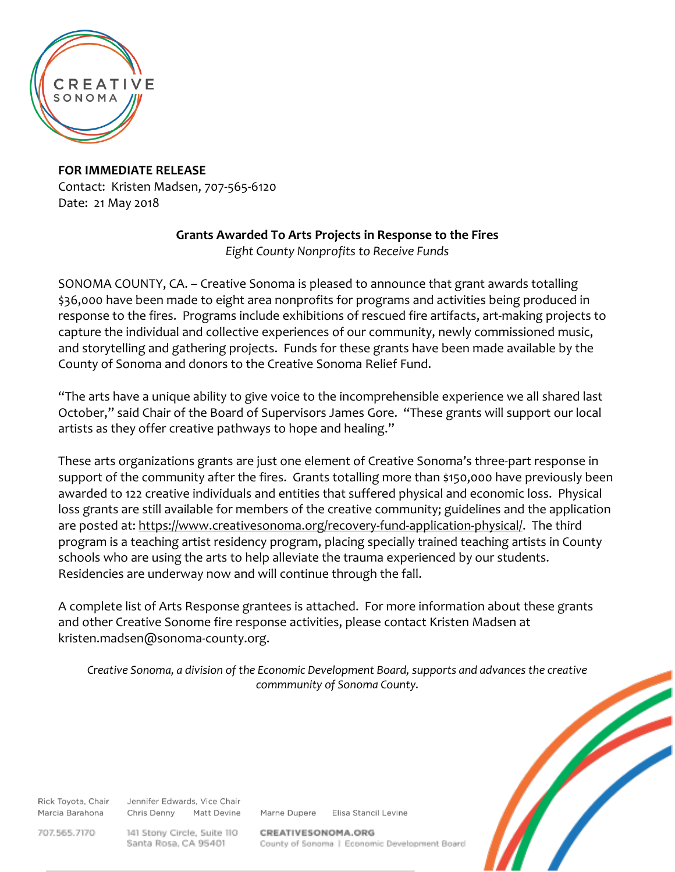

**FOR IMMEDIATE RELEASE** Contact: Kristen Madsen, 707-565-6120 Date: 21 May 2018

## **Grants Awarded To Arts Projects in Response to the Fires**

*Eight County Nonprofits to Receive Funds*

SONOMA COUNTY, CA. – Creative Sonoma is pleased to announce that grant awards totalling \$36,000 have been made to eight area nonprofits for programs and activities being produced in response to the fires. Programs include exhibitions of rescued fire artifacts, art-making projects to capture the individual and collective experiences of our community, newly commissioned music, and storytelling and gathering projects. Funds for these grants have been made available by the County of Sonoma and donors to the Creative Sonoma Relief Fund.

"The arts have a unique ability to give voice to the incomprehensible experience we all shared last October," said Chair of the Board of Supervisors James Gore. "These grants will support our local artists as they offer creative pathways to hope and healing."

These arts organizations grants are just one element of Creative Sonoma's three-part response in support of the community after the fires. Grants totalling more than \$150,000 have previously been awarded to 122 creative individuals and entities that suffered physical and economic loss. Physical loss grants are still available for members of the creative community; guidelines and the application are posted at: [https://www.creativesonoma.org/recovery-fund-application-physical/.](https://www.creativesonoma.org/recovery-fund-application-physical/) The third program is a teaching artist residency program, placing specially trained teaching artists in County schools who are using the arts to help alleviate the trauma experienced by our students. Residencies are underway now and will continue through the fall.

A complete list of Arts Response grantees is attached. For more information about these grants and other Creative Sonome fire response activities, please contact Kristen Madsen at kristen.madsen@sonoma-county.org.

*Creative Sonoma, a division of the Economic Development Board, supports and advances the creative commmunity of Sonoma County.*

Rick Toyota, Chair Marcia Barahona

Jennifer Edwards, Vice Chair Chris Denny **Matt Devine** 

Marne Dupere Elisa Stancil Levine

707.565.7170

141 Stony Circle, Suite 110 Santa Rosa, CA 95401

CREATIVESONOMA.ORG County of Sonoma | Economic Development Board